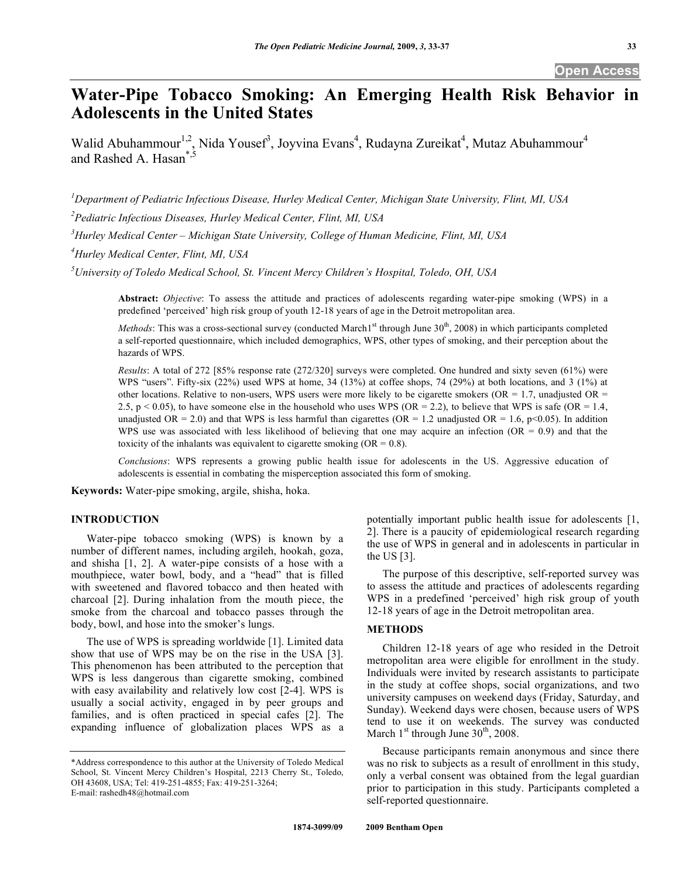# **Water-Pipe Tobacco Smoking: An Emerging Health Risk Behavior in Adolescents in the United States**

Walid Abuhammour<sup>1,2</sup>, Nida Yousef<sup>3</sup>, Joyvina Evans<sup>4</sup>, Rudayna Zureikat<sup>4</sup>, Mutaz Abuhammour<sup>4</sup> and Rashed A. Hasan<sup>\*</sup><sup>,</sup>

*1 Department of Pediatric Infectious Disease, Hurley Medical Center, Michigan State University, Flint, MI, USA* 

*2 Pediatric Infectious Diseases, Hurley Medical Center, Flint, MI, USA* 

*3 Hurley Medical Center – Michigan State University, College of Human Medicine, Flint, MI, USA* 

*4 Hurley Medical Center, Flint, MI, USA* 

*5 University of Toledo Medical School, St. Vincent Mercy Children's Hospital, Toledo, OH, USA* 

**Abstract:** *Objective*: To assess the attitude and practices of adolescents regarding water-pipe smoking (WPS) in a predefined 'perceived' high risk group of youth 12-18 years of age in the Detroit metropolitan area.

*Methods*: This was a cross-sectional survey (conducted March<sup>1st</sup> through June 30<sup>th</sup>, 2008) in which participants completed a self-reported questionnaire, which included demographics, WPS, other types of smoking, and their perception about the hazards of WPS.

*Results*: A total of 272 [85% response rate (272/320] surveys were completed. One hundred and sixty seven (61%) were WPS "users". Fifty-six (22%) used WPS at home, 34 (13%) at coffee shops, 74 (29%) at both locations, and 3 (1%) at other locations. Relative to non-users, WPS users were more likely to be cigarette smokers (OR = 1.7, unadjusted OR = 2.5, p < 0.05), to have someone else in the household who uses WPS (OR = 2.2), to believe that WPS is safe (OR = 1.4, unadjusted OR = 2.0) and that WPS is less harmful than cigarettes (OR = 1.2 unadjusted OR = 1.6, p<0.05). In addition WPS use was associated with less likelihood of believing that one may acquire an infection ( $OR = 0.9$ ) and that the toxicity of the inhalants was equivalent to cigarette smoking  $(OR = 0.8)$ .

*Conclusions*: WPS represents a growing public health issue for adolescents in the US. Aggressive education of adolescents is essential in combating the misperception associated this form of smoking.

**Keywords:** Water-pipe smoking, argile, shisha, hoka.

# **INTRODUCTION**

 Water-pipe tobacco smoking (WPS) is known by a number of different names, including argileh, hookah, goza, and shisha [1, 2]. A water-pipe consists of a hose with a mouthpiece, water bowl, body, and a "head" that is filled with sweetened and flavored tobacco and then heated with charcoal [2]. During inhalation from the mouth piece, the smoke from the charcoal and tobacco passes through the body, bowl, and hose into the smoker's lungs.

 The use of WPS is spreading worldwide [1]. Limited data show that use of WPS may be on the rise in the USA [3]. This phenomenon has been attributed to the perception that WPS is less dangerous than cigarette smoking, combined with easy availability and relatively low cost [2-4]. WPS is usually a social activity, engaged in by peer groups and families, and is often practiced in special cafes [2]. The expanding influence of globalization places WPS as a potentially important public health issue for adolescents [1, 2]. There is a paucity of epidemiological research regarding the use of WPS in general and in adolescents in particular in the US [3].

 The purpose of this descriptive, self-reported survey was to assess the attitude and practices of adolescents regarding WPS in a predefined 'perceived' high risk group of youth 12-18 years of age in the Detroit metropolitan area.

#### **METHODS**

 Children 12-18 years of age who resided in the Detroit metropolitan area were eligible for enrollment in the study. Individuals were invited by research assistants to participate in the study at coffee shops, social organizations, and two university campuses on weekend days (Friday, Saturday, and Sunday). Weekend days were chosen, because users of WPS tend to use it on weekends. The survey was conducted March  $1<sup>st</sup>$  through June  $30<sup>th</sup>$ , 2008.

 Because participants remain anonymous and since there was no risk to subjects as a result of enrollment in this study. only a verbal consent was obtained from the legal guardian prior to participation in this study. Participants completed a self-reported questionnaire.

<sup>\*</sup>Address correspondence to this author at the University of Toledo Medical School, St. Vincent Mercy Children's Hospital, 2213 Cherry St., Toledo, OH 43608, USA; Tel: 419-251-4855; Fax: 419-251-3264; E-mail: rashedh48@hotmail.com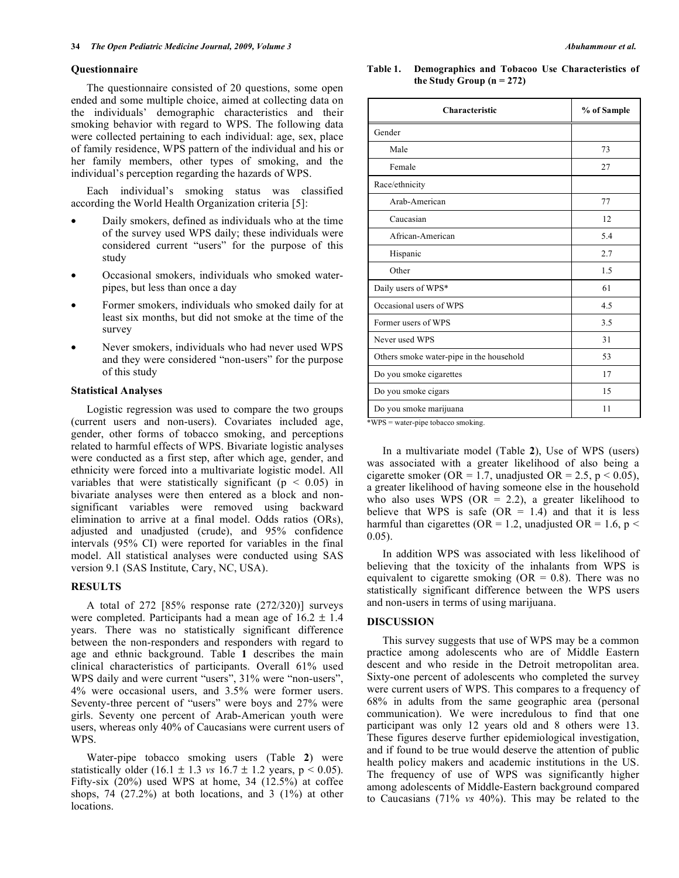#### **Questionnaire**

 The questionnaire consisted of 20 questions, some open ended and some multiple choice, aimed at collecting data on the individuals' demographic characteristics and their smoking behavior with regard to WPS. The following data were collected pertaining to each individual: age, sex, place of family residence, WPS pattern of the individual and his or her family members, other types of smoking, and the individual's perception regarding the hazards of WPS.

 Each individual's smoking status was classified according the World Health Organization criteria [5]:

- Daily smokers, defined as individuals who at the time of the survey used WPS daily; these individuals were considered current "users" for the purpose of this study
- Occasional smokers, individuals who smoked waterpipes, but less than once a day
- Former smokers, individuals who smoked daily for at least six months, but did not smoke at the time of the survey
- Never smokers, individuals who had never used WPS and they were considered "non-users" for the purpose of this study

# **Statistical Analyses**

 Logistic regression was used to compare the two groups (current users and non-users). Covariates included age, gender, other forms of tobacco smoking, and perceptions related to harmful effects of WPS. Bivariate logistic analyses were conducted as a first step, after which age, gender, and ethnicity were forced into a multivariate logistic model. All variables that were statistically significant ( $p < 0.05$ ) in bivariate analyses were then entered as a block and nonsignificant variables were removed using backward elimination to arrive at a final model. Odds ratios (ORs), adjusted and unadjusted (crude), and 95% confidence intervals (95% CI) were reported for variables in the final model. All statistical analyses were conducted using SAS version 9.1 (SAS Institute, Cary, NC, USA).

# **RESULTS**

 A total of 272 [85% response rate (272/320)] surveys were completed. Participants had a mean age of  $16.2 \pm 1.4$ years. There was no statistically significant difference between the non-responders and responders with regard to age and ethnic background. Table **1** describes the main clinical characteristics of participants. Overall 61% used WPS daily and were current "users", 31% were "non-users", 4% were occasional users, and 3.5% were former users. Seventy-three percent of "users" were boys and 27% were girls. Seventy one percent of Arab-American youth were users, whereas only 40% of Caucasians were current users of WPS.

 Water-pipe tobacco smoking users (Table **2**) were statistically older  $(16.1 \pm 1.3 \text{ vs } 16.7 \pm 1.2 \text{ years}, p \le 0.05)$ . Fifty-six (20%) used WPS at home, 34 (12.5%) at coffee shops, 74  $(27.2%)$  at both locations, and 3  $(1%)$  at other locations.

#### **Table 1. Demographics and Tobacoo Use Characteristics of**  the Study Group  $(n = 272)$

| Characteristic                           | % of Sample |  |
|------------------------------------------|-------------|--|
| Gender                                   |             |  |
| Male                                     | 73          |  |
| Female                                   | 27          |  |
| Race/ethnicity                           |             |  |
| Arab-American                            | 77          |  |
| Caucasian                                | 12          |  |
| African-American                         | 5.4         |  |
| Hispanic                                 | 2.7         |  |
| Other                                    | 1.5         |  |
| Daily users of WPS*                      | 61          |  |
| Occasional users of WPS                  | 4.5         |  |
| Former users of WPS                      | 3.5         |  |
| Never used WPS                           | 31          |  |
| Others smoke water-pipe in the household | 53          |  |
| Do you smoke cigarettes                  | 17          |  |
| Do you smoke cigars                      | 15          |  |
| Do you smoke marijuana                   | 11          |  |

\*WPS = water-pipe tobacco smoking.

 In a multivariate model (Table **2**), Use of WPS (users) was associated with a greater likelihood of also being a cigarette smoker (OR = 1.7, unadjusted OR = 2.5,  $p < 0.05$ ), a greater likelihood of having someone else in the household who also uses WPS (OR = 2.2), a greater likelihood to believe that WPS is safe  $(OR = 1.4)$  and that it is less harmful than cigarettes (OR = 1.2, unadjusted OR = 1.6,  $p <$ 0.05).

 In addition WPS was associated with less likelihood of believing that the toxicity of the inhalants from WPS is equivalent to cigarette smoking ( $OR = 0.8$ ). There was no statistically significant difference between the WPS users and non-users in terms of using marijuana.

# **DISCUSSION**

 This survey suggests that use of WPS may be a common practice among adolescents who are of Middle Eastern descent and who reside in the Detroit metropolitan area. Sixty-one percent of adolescents who completed the survey were current users of WPS. This compares to a frequency of 68% in adults from the same geographic area (personal communication). We were incredulous to find that one participant was only 12 years old and 8 others were 13. These figures deserve further epidemiological investigation, and if found to be true would deserve the attention of public health policy makers and academic institutions in the US. The frequency of use of WPS was significantly higher among adolescents of Middle-Eastern background compared to Caucasians (71% *vs* 40%). This may be related to the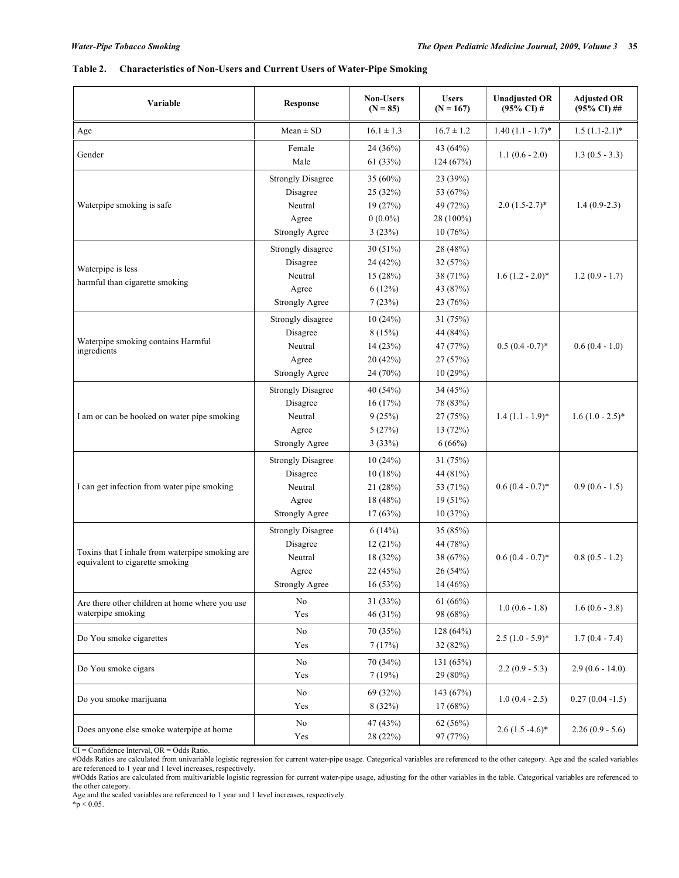# **Table 2. Characteristics of Non-Users and Current Users of Water-Pipe Smoking**

| Variable                                                                           | <b>Response</b>                                                                   | <b>Non-Users</b><br>$(N = 85)$                          | <b>Users</b><br>$(N = 167)$                                | <b>Unadjusted OR</b><br>$(95\% \text{ CI})$ # | <b>Adjusted OR</b><br>$(95\% \text{ CI})$ ## |
|------------------------------------------------------------------------------------|-----------------------------------------------------------------------------------|---------------------------------------------------------|------------------------------------------------------------|-----------------------------------------------|----------------------------------------------|
| Age                                                                                | $Mean \pm SD$                                                                     | $16.1 \pm 1.3$                                          | $16.7 \pm 1.2$                                             | $1.40(1.1 - 1.7)$ *                           | $1.5(1.1-2.1)$ *                             |
| Gender                                                                             | Female<br>Male                                                                    | 24 (36%)<br>61(33%)                                     | 43 (64%)<br>124 (67%)                                      | $1.1(0.6 - 2.0)$                              | $1.3(0.5 - 3.3)$                             |
| Waterpipe smoking is safe                                                          | <b>Strongly Disagree</b><br>Disagree<br>Neutral<br>Agree<br><b>Strongly Agree</b> | 35 (60%)<br>25 (32%)<br>19(27%)<br>$0(0.0\%)$<br>3(23%) | 23 (39%)<br>53 (67%)<br>49 (72%)<br>28 (100%)<br>10(76%)   | $2.0(1.5-2.7)$ *                              | $1.4(0.9-2.3)$                               |
| Waterpipe is less<br>harmful than cigarette smoking                                | Strongly disagree<br>Disagree<br>Neutral<br>Agree<br><b>Strongly Agree</b>        | 30(51%)<br>24 (42%)<br>15(28%)<br>6(12%)<br>7(23%)      | 28 (48%)<br>32 (57%)<br>38 (71%)<br>43 (87%)<br>23 (76%)   | $1.6(1.2 - 2.0)*$                             | $1.2(0.9 - 1.7)$                             |
| Waterpipe smoking contains Harmful<br>ingredients                                  | Strongly disagree<br>Disagree<br>Neutral<br>Agree<br><b>Strongly Agree</b>        | 10(24%)<br>8(15%)<br>14(23%)<br>20 (42%)<br>24 (70%)    | 31 (75%)<br>44 (84%)<br>47 (77%)<br>27 (57%)<br>10(29%)    | $0.5(0.4-0.7)^*$                              | $0.6(0.4 - 1.0)$                             |
| I am or can be hooked on water pipe smoking                                        | <b>Strongly Disagree</b><br>Disagree<br>Neutral<br>Agree<br><b>Strongly Agree</b> | 40 (54%)<br>16(17%)<br>9(25%)<br>5(27%)<br>3(33%)       | 34 (45%)<br>78 (83%)<br>27 (75%)<br>13 (72%)<br>6(66%)     | $1.4(1.1 - 1.9)^*$                            | $1.6(1.0 - 2.5)^*$                           |
| I can get infection from water pipe smoking                                        | <b>Strongly Disagree</b><br>Disagree<br>Neutral<br>Agree<br><b>Strongly Agree</b> | 10(24%)<br>10(18%)<br>21 (28%)<br>18 (48%)<br>17(63%)   | 31 (75%)<br>44 (81%)<br>53 (71%)<br>19 (51%)<br>10(37%)    | $0.6(0.4 - 0.7)$ *                            | $0.9(0.6 - 1.5)$                             |
| Toxins that I inhale from waterpipe smoking are<br>equivalent to cigarette smoking | <b>Strongly Disagree</b><br>Disagree<br>Neutral<br>Agree<br>Strongly Agree        | 6(14%)<br>12(21%)<br>18 (32%)<br>22 (45%)<br>16(53%)    | 35 (85%)<br>44 (78%)<br>38 (67%)<br>26 (54%)<br>$14(46\%)$ | $0.6(0.4-0.7)$ *                              | $0.8(0.5 - 1.2)$                             |
| Are there other children at home where you use<br>waterpipe smoking                | No<br>Yes                                                                         | 31 (33%)<br>46 (31%)                                    | 61(66%)<br>98 (68%)                                        | $1.0(0.6 - 1.8)$                              | $1.6(0.6 - 3.8)$                             |
| Do You smoke cigarettes                                                            | No<br>Yes                                                                         | 70 (35%)<br>7(17%)                                      | 128(64%)<br>32 (82%)                                       | $2.5(1.0-5.9)$ *                              | $1.7(0.4 - 7.4)$                             |
| Do You smoke cigars                                                                | No<br>Yes                                                                         | 70 (34%)<br>7(19%)                                      | 131 (65%)<br>29 (80%)                                      | $2.2(0.9 - 5.3)$                              | $2.9(0.6 - 14.0)$                            |
| Do you smoke marijuana                                                             | No<br>Yes                                                                         | 69 (32%)<br>8(32%)                                      | 143 (67%)<br>17(68%)                                       | $1.0(0.4 - 2.5)$                              | $0.27(0.04 - 1.5)$                           |
| Does anyone else smoke waterpipe at home                                           | No<br>Yes                                                                         | 47 (43%)<br>28 (22%)                                    | 62 (56%)<br>97 (77%)                                       | $2.6(1.5-4.6)$ *                              | $2.26(0.9 - 5.6)$                            |

CI = Confidence Interval, OR = Odds Ratio.<br>#Odds Ratios are calculated from univariable logistic regression for current water-pipe usage. Categorical variables are referenced to the other category. Age and the scaled varia

are referenced to 1 year and 1 level increases, respectively.<br>##Odds Ratios are calculated from multivariable logistic regression for current water-pipe usage, adjusting for the other variables in the table. Categorical va the other category. Age and the scaled variables are referenced to 1 year and 1 level increases, respectively.

 $*$ p < 0.05.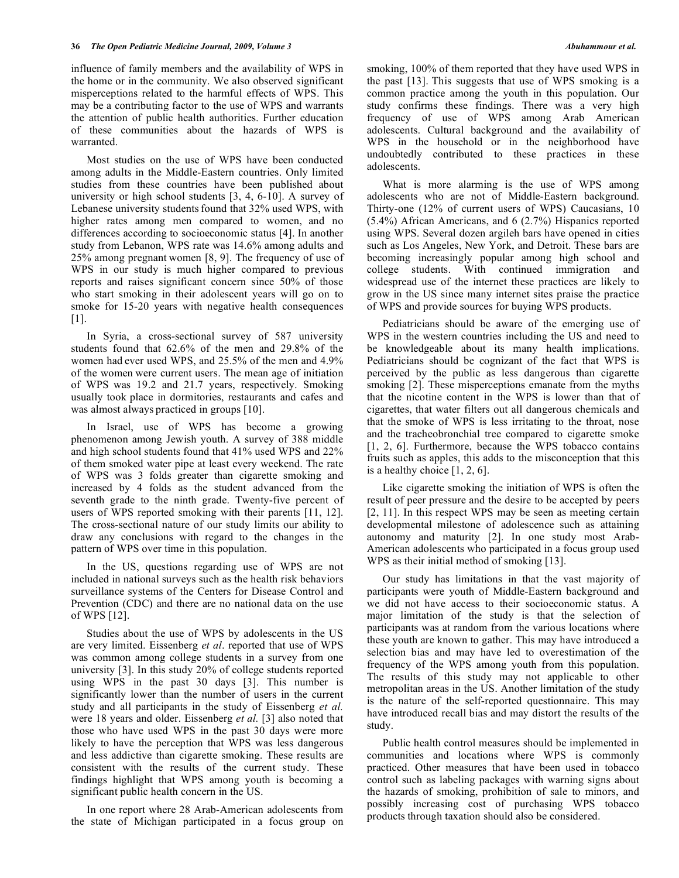influence of family members and the availability of WPS in the home or in the community. We also observed significant misperceptions related to the harmful effects of WPS. This may be a contributing factor to the use of WPS and warrants the attention of public health authorities. Further education of these communities about the hazards of WPS is warranted.

 Most studies on the use of WPS have been conducted among adults in the Middle-Eastern countries. Only limited studies from these countries have been published about university or high school students [3, 4, 6-10]. A survey of Lebanese university students found that 32% used WPS, with higher rates among men compared to women, and no differences according to socioeconomic status [4]. In another study from Lebanon, WPS rate was 14.6% among adults and 25% among pregnant women [8, 9]. The frequency of use of WPS in our study is much higher compared to previous reports and raises significant concern since 50% of those who start smoking in their adolescent years will go on to smoke for 15-20 years with negative health consequences  $[1]$ .

 In Syria, a cross-sectional survey of 587 university students found that 62.6% of the men and 29.8% of the women had ever used WPS, and 25.5% of the men and 4.9% of the women were current users. The mean age of initiation of WPS was 19.2 and 21.7 years, respectively. Smoking usually took place in dormitories, restaurants and cafes and was almost always practiced in groups [10].

 In Israel, use of WPS has become a growing phenomenon among Jewish youth. A survey of 388 middle and high school students found that 41% used WPS and 22% of them smoked water pipe at least every weekend. The rate of WPS was 3 folds greater than cigarette smoking and increased by 4 folds as the student advanced from the seventh grade to the ninth grade. Twenty-five percent of users of WPS reported smoking with their parents [11, 12]. The cross-sectional nature of our study limits our ability to draw any conclusions with regard to the changes in the pattern of WPS over time in this population.

 In the US, questions regarding use of WPS are not included in national surveys such as the health risk behaviors surveillance systems of the Centers for Disease Control and Prevention (CDC) and there are no national data on the use of WPS [12].

 Studies about the use of WPS by adolescents in the US are very limited. Eissenberg *et al*. reported that use of WPS was common among college students in a survey from one university [3]. In this study 20% of college students reported using WPS in the past 30 days [3]. This number is significantly lower than the number of users in the current study and all participants in the study of Eissenberg *et al.* were 18 years and older. Eissenberg *et al.* [3] also noted that those who have used WPS in the past 30 days were more likely to have the perception that WPS was less dangerous and less addictive than cigarette smoking. These results are consistent with the results of the current study. These findings highlight that WPS among youth is becoming a significant public health concern in the US.

 In one report where 28 Arab-American adolescents from the state of Michigan participated in a focus group on smoking, 100% of them reported that they have used WPS in the past [13]. This suggests that use of WPS smoking is a common practice among the youth in this population. Our study confirms these findings. There was a very high frequency of use of WPS among Arab American adolescents. Cultural background and the availability of WPS in the household or in the neighborhood have undoubtedly contributed to these practices in these adolescents.

 What is more alarming is the use of WPS among adolescents who are not of Middle-Eastern background. Thirty-one (12% of current users of WPS) Caucasians, 10 (5.4%) African Americans, and 6 (2.7%) Hispanics reported using WPS. Several dozen argileh bars have opened in cities such as Los Angeles, New York, and Detroit. These bars are becoming increasingly popular among high school and college students. With continued immigration and widespread use of the internet these practices are likely to grow in the US since many internet sites praise the practice of WPS and provide sources for buying WPS products.

 Pediatricians should be aware of the emerging use of WPS in the western countries including the US and need to be knowledgeable about its many health implications. Pediatricians should be cognizant of the fact that WPS is perceived by the public as less dangerous than cigarette smoking [2]. These misperceptions emanate from the myths that the nicotine content in the WPS is lower than that of cigarettes, that water filters out all dangerous chemicals and that the smoke of WPS is less irritating to the throat, nose and the tracheobronchial tree compared to cigarette smoke [1, 2, 6]. Furthermore, because the WPS tobacco contains fruits such as apples, this adds to the misconception that this is a healthy choice  $[1, 2, 6]$ .

 Like cigarette smoking the initiation of WPS is often the result of peer pressure and the desire to be accepted by peers [2, 11]. In this respect WPS may be seen as meeting certain developmental milestone of adolescence such as attaining autonomy and maturity [2]. In one study most Arab-American adolescents who participated in a focus group used WPS as their initial method of smoking [13].

 Our study has limitations in that the vast majority of participants were youth of Middle-Eastern background and we did not have access to their socioeconomic status. A major limitation of the study is that the selection of participants was at random from the various locations where these youth are known to gather. This may have introduced a selection bias and may have led to overestimation of the frequency of the WPS among youth from this population. The results of this study may not applicable to other metropolitan areas in the US. Another limitation of the study is the nature of the self-reported questionnaire. This may have introduced recall bias and may distort the results of the study.

 Public health control measures should be implemented in communities and locations where WPS is commonly practiced. Other measures that have been used in tobacco control such as labeling packages with warning signs about the hazards of smoking, prohibition of sale to minors, and possibly increasing cost of purchasing WPS tobacco products through taxation should also be considered.